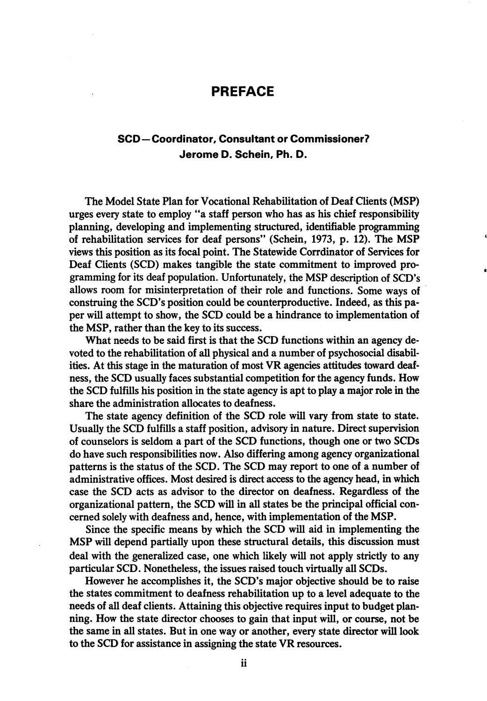## PREFACE

## SCD—Coordinator, Consultant or Commissioner? Jerome D. Schein, Ph. D.

The Model State Plan for Vocational Rehabilitation of Deaf Clients (MS?) urges every state to employ "a staff person who has as his chief responsibility planning, developing and implementing structured, identifiable programming of rehabilitation services for deaf persons" (Schein, 1973, p. 12). The MSP views this position as its focal point. The Statewide Corrdinator of Services for Deaf Clients (SCD) makes tangible the state commitment to improved pro gramming for its deaf population. Unfortunately, the MSP description of SCD's allows room for misinterpretation of their role and functions. Some ways of construing the SCD's position could be counterproductive. Indeed, as this pa per will attempt to show, the SCD could be a hindrance to implementation of the MSP, rather than the key to its success.

What needs to be said first is that the SCD functions within an agency de voted to the rehabilitation of all physical and a number of psychosocial disabil ities. At this stage in the maturation of most VR agencies attitudes toward deaf ness, the SCD usually faces substantial competition for the agency funds. How the SCD fulfills his position in the state agency is apt to play a major role in the share the administration allocates to deafness.

The state agency definition of the SCD role will vary from state to state. Usually the SCD fulfills a staff position, advisory in nature. Direct supervision of counselors is seldom a part of the SCD functions, though one or two SCDs do have such responsibilities now. Also differing among agency organizational patterns is the status of the SCD. The SCD may report to one of a number of administrative offices. Most desired is direct access to the agency head, in which case the SCD acts as advisor to the director on deafness. Regardless of the organizational pattern, the SCD will in all states be the principal official con cerned solely with deafness and, hence, with implementation of the MSP.

Since the specific means by which the SCD will aid in implementing the MSP will depend partially upon these structural details, this discussion must deal with the generalized case, one which likely will not apply strictly to any particular SCD. Nonetheless, the issues raised touch virtually all SCDs.

However he accomplishes it, the SCD's major objective should be to raise the states commitment to deafness rehabilitation up to a level adequate to the needs of all deaf clients. Attaining this objective requires input to budget plan ning. How the state director chooses to gain that input will, or course, not be the same in all states. But in one way or another, every state director will look to the SCD for assistance in assigning the state VR resources.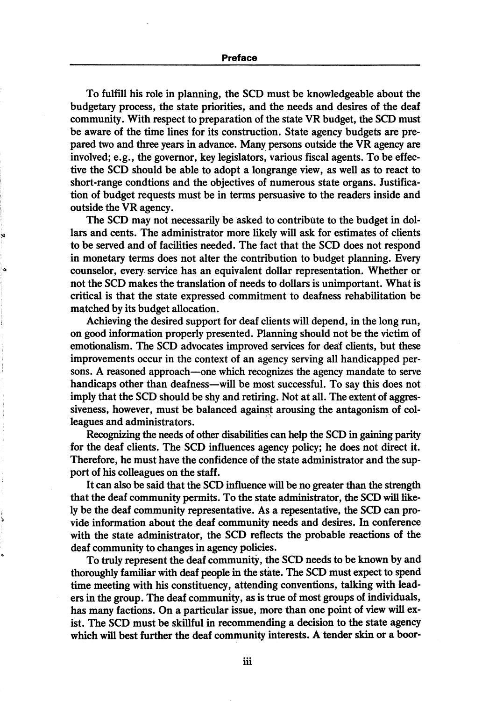To fulfill his role in planning, the SCD must be knowledgeable about the budgetary process, the state priorities, and the needs and desires of the deaf community. With respect to preparation of the state VR budget, the SCD must be aware of the time lines for its construction. State agency budgets are pre pared two and three years in advance. Many persons outside the VR agency are involved; e.g., the governor, key legislators, various fiscal agents. To be effec tive the SCD should be able to adopt a longrange view, as well as to react to short-range condtions and the objectives of numerous state organs. Justifica tion of budget requests must be in terms persuasive to the readers inside and outside the VR agency.

The SCD may not necessarily be asked to contribute to the budget in dol lars and cents. The administrator more likely will ask for estimates of clients to be served and of facilities needed. The fact that the SCD does not respond in monetary terms does not alter the contribution to budget planning. Every counselor, every service has an equivalent dollar representation. Whether or not the SCD makes the translation of needs to dollars is unimportant. What is critical is that the state expressed commitment to deafness rehabilitation be matched by its budget allocation.

Achieving the desired support for deaf clients will depend, in the long run, on good information properly presented. Planning should not be the victim of emotionalism. The SCD advocates improved services for deaf clients, but these improvements occur in the context of an agency serving all handicapped per sons. A reasoned approach—one which recognizes the agency mandate to serve handicaps other than deafness—will be most successful. To say this does not imply that the SCD should be shy and retiring. Not at all. The extent of aggres siveness, however, must be balanced against arousing the antagonism of col leagues and administrators.

Recognizing the needs of other disabilities can help the SCD in gaining parity for the deaf clients. The SCD influences agency policy; he does not direct it. Therefore, he must have the confidence of the state administrator and the sup port of his colleagues on the staff.

It can also be said that the SCD influence will be no greater than the strength that the deaf community permits. To the state administrator, the SCD will like ly be the deaf community representative. As a repesentative, the SCD can pro vide information about the deaf community needs and desires. In conference with the state administrator, the SCD reflects the probable reactions of the deaf community to changes in agency policies.

To truly represent the deaf community, the SCD needs to be known by and thoroughly familiar with deaf people in the state. The SCD must expect to spend time meeting with his constituency, attending conventions, talking with lead ers in the group. The deaf community, as is true of most groups of individuals, has many factions. On a particular issue, more than one point of view will ex ist. The SCD must be skillful in recommending a decision to the state agency which will best further the deaf community interests. A tender skin or a boor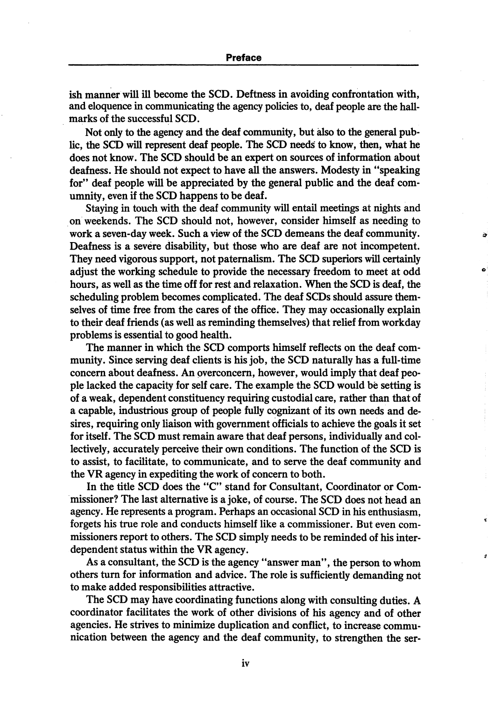ish manner will ill become the SCD. Deftness in avoiding confrontation with, and eloquence in communicating the agency policies to, deaf people are the hall marks of the successful SCD.

Not only to the agency and the deaf community, but also to the general pub lic, the SCD will represent deaf people. The SCD needs to know, then, what he does not know. The SCD should be an expert on sources of information about deafness. He should not expect to have all the answers. Modesty in "speaking for" deaf people will be appreciated by the general public and the deaf comumnity, even if the SCD happens to be deaf.

Staying in touch with the deaf community will entail meetings at nights and on weekends. The SCD should not, however, consider himself as needing to work a seven-day week. Such a view of the SCD demeans the deaf community. Deafness is a severe disability, but those who are deaf are not incompetent. They need vigorous support, not paternalism. The SCD superiors will certainly adjust the working schedule to provide the necessary freedom to meet at odd hours, as well as the time off for rest and relaxation. When the SCD is deaf, the scheduling problem becomes complicated. The deaf SCDs should assure them selves of time free from the cares of the office. They may occasionally explain to their deaf friends (as well as reminding themselves) that relief from workday problems is essential to good health.

Á

The manner in which the SCD comports himself reflects on the deaf com munity. Since serving deaf clients is his job, the SCD naturally has a full-time concern about deafness. An pverconcem, however, would imply that deaf peo ple lacked the capacity for self care. The example the SCD would be setting is of a weak, dependent constituency requiring custodial care, rather than that of a capable, industrious group of people fully cognizant of its own needs and de sires, requiring only liaison with government officials to achieve the goals it set for itself. The SCD must remain aware that deaf persons, individually and col lectively, accurately perceive their own conditions. The function of the SCD is to assist, to facilitate, to communicate, and to serve the deaf community and the VR agency in expediting the work of concern to both.

In the title SCD does the "C" stand for Consultant, Coordinator or Com missioner? The last alternative is a joke, of course. The SCD does not head an agency. He represents a program. Perhaps an occasional SCD in his enthusiasm, forgets his true role and conducts himself like a commissioner. But even com missioners report to others. The SCD simply needs to be reminded of his inter dependent status within the VR agency.

As a consultant, the SCD is the agency "answer man", the person to whom others turn for information and advice. The role is sufficiently demanding not to make added responsibilities attractive.

The SCD may have coordinating functions along with consulting duties. A coordinator facilitates the work of other divisions of his agency and of other agencies. He strives to minimize duplication and conflict, to increase commu nication between the agency and the deaf community, to strengthen the ser